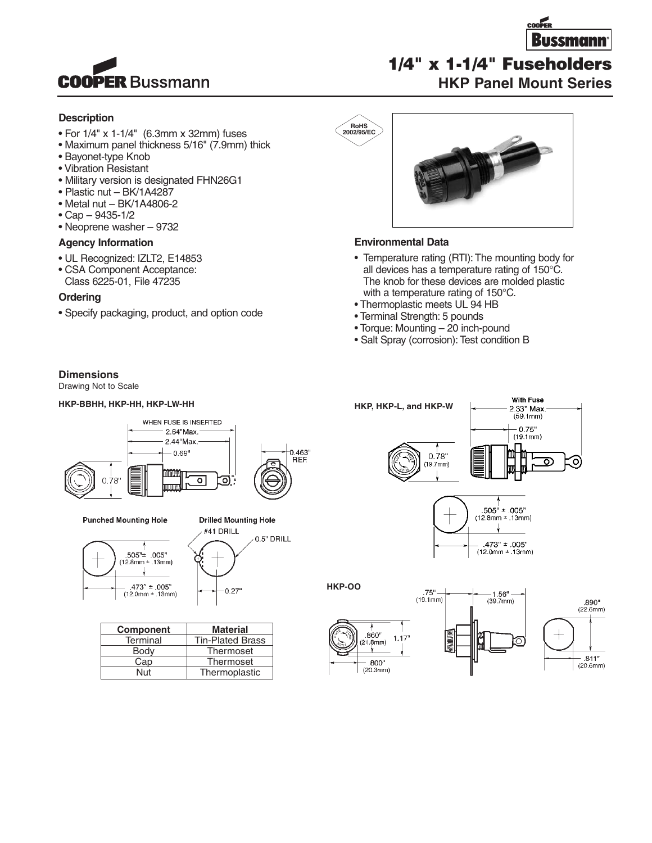

# **Description**

- For 1/4" x 1-1/4" (6.3mm x 32mm) fuses
- Maximum panel thickness 5/16" (7.9mm) thick
- Bayonet-type Knob
- Vibration Resistant
- Military version is designated FHN26G1
- Plastic nut BK/1A4287
- Metal nut BK/1A4806-2
- Cap 9435-1/2
- Neoprene washer 9732

### **Agency Information**

- UL Recognized: IZLT2, E14853
- CSA Component Acceptance:
- Class 6225-01, File 47235

#### **Ordering**

• Specify packaging, product, and option code



#### **Environmental Data**

**RoHS 2002/95/EC**

- Temperature rating (RTI): The mounting body for all devices has a temperature rating of 150°C. The knob for these devices are molded plastic with a temperature rating of 150°C.
- Thermoplastic meets UL 94 HB
- Terminal Strength: 5 pounds
- Torque: Mounting 20 inch-pound

 $75^{\circ}$  –<br>(19.1mm)

• Salt Spray (corrosion): Test condition B

#### **Dimensions**

Drawing Not to Scale

#### **HKP-BBHH, HKP-HH, HKP-LW-HH HKP, HKP-L, and HKP-W**



**Punched Mounting Hole** 





 $0.27$ 

| <b>Component</b> | <b>Material</b>         |
|------------------|-------------------------|
| Terminal         | <b>Tin-Plated Brass</b> |
| Body             | Thermoset               |
| Cap              | Thermoset               |
| Nut              | Thermoplastic           |





**HKP-OO**





With Fuse



**1/4" x 1-1/4" Fuseholders**

### **HKP Panel Mount Series**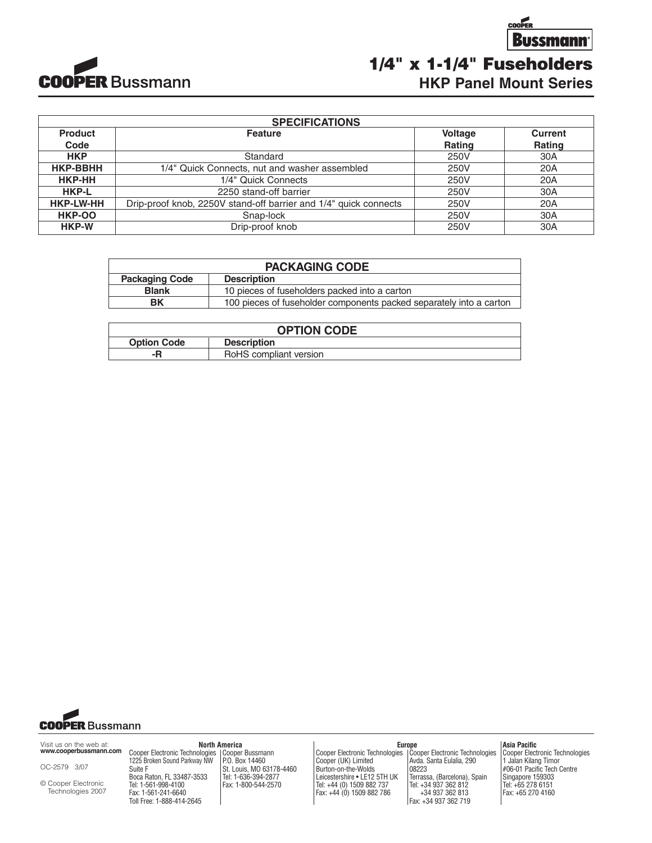

**Bussmann 1/4" x 1-1/4" Fuseholders HKP Panel Mount Series**

**COOPER** 

| <b>SPECIFICATIONS</b> |                                                                  |                |                |  |
|-----------------------|------------------------------------------------------------------|----------------|----------------|--|
| <b>Product</b>        | <b>Feature</b>                                                   | <b>Voltage</b> | <b>Current</b> |  |
| Code                  |                                                                  | Rating         | Rating         |  |
| <b>HKP</b>            | Standard                                                         | 250V           | 30A            |  |
| <b>HKP-BBHH</b>       | 1/4" Quick Connects, nut and washer assembled                    | 250V           | 20A            |  |
| HKP-HH                | 1/4" Quick Connects                                              | 250V           | 20A            |  |
| <b>HKP-L</b>          | 2250 stand-off barrier                                           | 250V           | 30A            |  |
| <b>HKP-LW-HH</b>      | Drip-proof knob, 2250V stand-off barrier and 1/4" quick connects | 250V           | 20A            |  |
| HKP-OO                | Snap-lock                                                        | 250V           | 30A            |  |
| HKP-W                 | Drip-proof knob                                                  | 250V           | 30A            |  |

| <b>PACKAGING CODE</b> |                                                                     |  |
|-----------------------|---------------------------------------------------------------------|--|
| <b>Packaging Code</b> | <b>Description</b>                                                  |  |
| <b>Blank</b>          | 10 pieces of fuseholders packed into a carton                       |  |
| BK                    | 100 pieces of fuseholder components packed separately into a carton |  |

| <b>OPTION CODE</b> |                        |  |  |
|--------------------|------------------------|--|--|
| <b>Option Code</b> | <b>Description</b>     |  |  |
| -R                 | RoHS compliant version |  |  |



Visit us on the web at: **www.cooperbussmann.com**

OC-2579 3/07

© Cooper Electronic Technologies 2007 Cooper Electronic Technologies 1225 Broken Sound Parkway NW Suite F Boca Raton, FL 33487-3533 Tel: 1-561-998-4100 Fax: 1-561-241-6640 Toll Free: 1-888-414-2645

Cooper Bussmann P.O. Box 14460 St. Louis, MO 63178-4460 Tel: 1-636-394-2877 Fax: 1-800-544-2570 **North America** 

Europe<br>Cooper Electronic Technologies | Co Cooper (UK) Limited Burton-on-the-Wolds Leicestershire • LE12 5TH UK Tel: +44 (0) 1509 882 737 Fax: +44 (0) 1509 882 786 08223

Cooper Electronic Technologies Avda. Santa Eulalia, 290 Terrassa, (Barcelona), Spain Tel: +34 937 362 812 +34 937 362 813 Fax: +34 937 362 719

#### **Asia Pacific**

Cooper Electronic Technologies 1 Jalan Kilang Timor #06-01 Pacific Tech Centre Singapore 159303 Tel: +65 278 6151 Fax: +65 270 4160